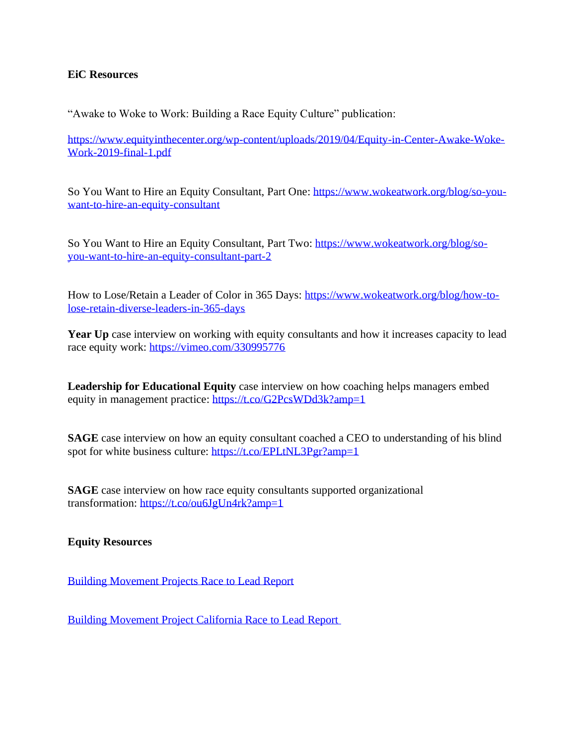### **EiC Resources**

"Awake to Woke to Work: Building a Race Equity Culture" publication:

[https://www.equityinthecenter.org/wp-content/uploads/2019/04/Equity-in-Center-Awake-Woke-](https://www.equityinthecenter.org/wp-content/uploads/2019/04/Equity-in-Center-Awake-Woke-Work-2019-final-1.pdf)[Work-2019-final-1.pdf](https://www.equityinthecenter.org/wp-content/uploads/2019/04/Equity-in-Center-Awake-Woke-Work-2019-final-1.pdf)

So You Want to Hire an Equity Consultant, Part One: [https://www.wokeatwork.org/blog/so-you](https://www.wokeatwork.org/blog/so-you-want-to-hire-an-equity-consultant)[want-to-hire-an-equity-consultant](https://www.wokeatwork.org/blog/so-you-want-to-hire-an-equity-consultant)

So You Want to Hire an Equity Consultant, Part Two: [https://www.wokeatwork.org/blog/so](https://www.wokeatwork.org/blog/so-you-want-to-hire-an-equity-consultant-part-2)[you-want-to-hire-an-equity-consultant-part-2](https://www.wokeatwork.org/blog/so-you-want-to-hire-an-equity-consultant-part-2)

How to Lose/Retain a Leader of Color in 365 Days: [https://www.wokeatwork.org/blog/how-to](https://www.wokeatwork.org/blog/how-to-lose-retain-diverse-leaders-in-365-days)[lose-retain-diverse-leaders-in-365-days](https://www.wokeatwork.org/blog/how-to-lose-retain-diverse-leaders-in-365-days)

**Year** Up case interview on working with equity consultants and how it increases capacity to lead race equity work: <https://vimeo.com/330995776>

**Leadership for Educational Equity** case interview on how coaching helps managers embed equity in management practice: <https://t.co/G2PcsWDd3k?amp=1>

**SAGE** case interview on how an equity consultant coached a CEO to understanding of his blind spot for white business culture: <https://t.co/EPLtNL3Pgr?amp=1>

**SAGE** case interview on how race equity consultants supported organizational transformation: <https://t.co/ou6JgUn4rk?amp=1>

### **Equity Resources**

Building [Movement](https://www.buildingmovement.org/reports/entry/race_to_lead) Projects Race to Lead Report

Building [Movement](https://www.buildingmovement.org/reports/entry/californias_race_to_lead_the_nonprofit_racial_leadership_gap_in_the_golden_) Project California Race to Lead Report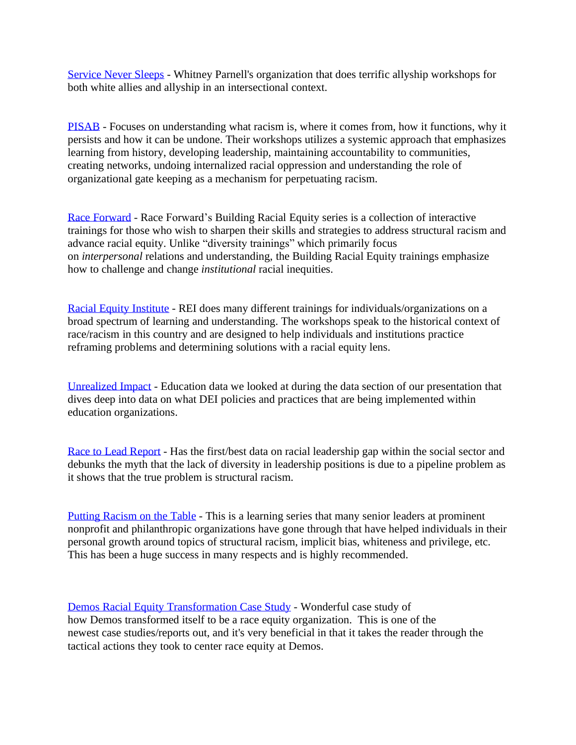[Service](https://www.serviceneversleeps.org/) Never Sleeps - Whitney Parnell's organization that does terrific allyship workshops for both white allies and allyship in an intersectional context.

[PISAB](https://www.pisab.org/) - Focuses on understanding what racism is, where it comes from, how it functions, why it persists and how it can be undone. Their workshops utilizes a systemic approach that emphasizes learning from history, developing leadership, maintaining accountability to communities, creating networks, undoing internalized racial oppression and understanding the role of organizational gate keeping as a mechanism for perpetuating racism.

Race [Forward](https://www.raceforward.org/trainings) - Race Forward's Building Racial Equity series is a collection of interactive trainings for those who wish to sharpen their skills and strategies to address structural racism and advance racial equity. Unlike "diversity trainings" which primarily focus on *interpersonal* relations and understanding, the Building Racial Equity trainings emphasize how to challenge and change *institutional* racial inequities.

Racial Equity [Institute](https://www.racialequityinstitute.com/ourservices) - REI does many different trainings for individuals/organizations on a broad spectrum of learning and understanding. The workshops speak to the historical context of race/racism in this country and are designed to help individuals and institutions practice reframing problems and determining solutions with a racial equity lens.

[Unrealized](http://www.unrealizedimpact.org/) Impact - Education data we looked at during the data section of our presentation that dives deep into data on what DEI policies and practices that are being implemented within education organizations.

Race to Lead [Report](http://racetolead.org/) - Has the first/best data on racial leadership gap within the social sector and debunks the myth that the lack of diversity in leadership positions is due to a pipeline problem as it shows that the true problem is structural racism.

Putting [Racism](https://www.puttingracismonthetable.org/) on the Table - This is a learning series that many senior leaders at prominent nonprofit and philanthropic organizations have gone through that have helped individuals in their personal growth around topics of structural racism, implicit bias, whiteness and privilege, etc. This has been a huge success in many respects and is highly recommended.

Demos Racial Equity [Transformation](https://www.demos.org/publication/demos-racial-equity-transformation-key-components-process-lessons) Case Study - Wonderful case study of how Demos transformed itself to be a race equity organization. This is one of the newest case studies/reports out, and it's very beneficial in that it takes the reader through the tactical actions they took to center race equity at Demos.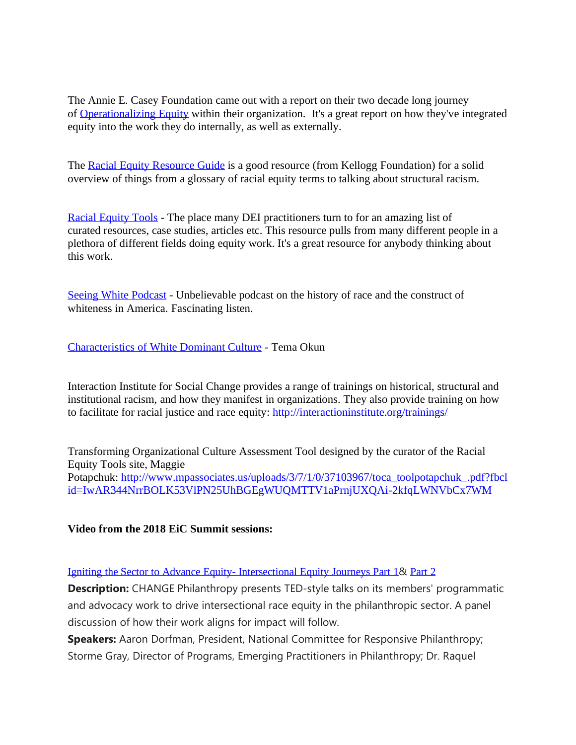The Annie E. Casey Foundation came out with a report on their two decade long journey of [Operationalizing](http://www.aecf.org/m/resourcedoc/aecf-OperationalizingEquity-2017.pdf) Equity within their organization. It's a great report on how they've integrated equity into the work they do internally, as well as externally.

The Racial Equity [Resource](http://www.racialequitytools.org/resourcefiles/Racial_Equity_Resource_Guide.pdf) Guide is a good resource (from Kellogg Foundation) for a solid overview of things from a glossary of racial equity terms to talking about structural racism.

Racial [Equity](https://www.racialequitytools.org/home) Tools - The place many DEI practitioners turn to for an amazing list of curated resources, case studies, articles etc. This resource pulls from many different people in a plethora of different fields doing equity work. It's a great resource for anybody thinking about this work.

Seeing White [Podcast](https://www.sceneonradio.org/seeing-white/) - Unbelievable podcast on the history of race and the construct of whiteness in America. Fascinating listen.

[Characteristics](http://www.cwsworkshop.org/PARC_site_B/dr-culture.html) of White Dominant Culture - Tema Okun

Interaction Institute for Social Change provides a range of trainings on historical, structural and institutional racism, and how they manifest in organizations. They also provide training on how to facilitate for racial justice and race equity: <http://interactioninstitute.org/trainings/>

Transforming Organizational Culture Assessment Tool designed by the curator of the Racial Equity Tools site, Maggie Potapchuk: [http://www.mpassociates.us/uploads/3/7/1/0/37103967/toca\\_toolpotapchuk\\_.pdf?fbcl](http://www.mpassociates.us/uploads/3/7/1/0/37103967/toca_toolpotapchuk_.pdf?fbclid=IwAR344NrrBOLK53VlPN25UhBGEgWUQMTTV1aPrnjUXQAi-2kfqLWNVbCx7WM) [id=IwAR344NrrBOLK53VlPN25UhBGEgWUQMTTV1aPrnjUXQAi-2kfqLWNVbCx7WM](http://www.mpassociates.us/uploads/3/7/1/0/37103967/toca_toolpotapchuk_.pdf?fbclid=IwAR344NrrBOLK53VlPN25UhBGEgWUQMTTV1aPrnjUXQAi-2kfqLWNVbCx7WM)

## **Video from the 2018 EiC Summit sessions:**

Igniting the Sector to Advance Equity- [Intersectional](https://equityinthecenter.us2.list-manage.com/track/click?u=6aae610a35083aa3e2d4bc344&id=1c9f753b7e&e=7df4cde7f1) Equity Journeys Part 1& [Part](https://equityinthecenter.us2.list-manage.com/track/click?u=6aae610a35083aa3e2d4bc344&id=9bdd2ca3f1&e=7df4cde7f1) 2

**Description:** CHANGE Philanthropy presents TED-style talks on its members' programmatic and advocacy work to drive intersectional race equity in the philanthropic sector. A panel discussion of how their work aligns for impact will follow.

**Speakers:** Aaron Dorfman, President, National Committee for Responsive Philanthropy; Storme Gray, Director of Programs, Emerging Practitioners in Philanthropy; Dr. Raquel